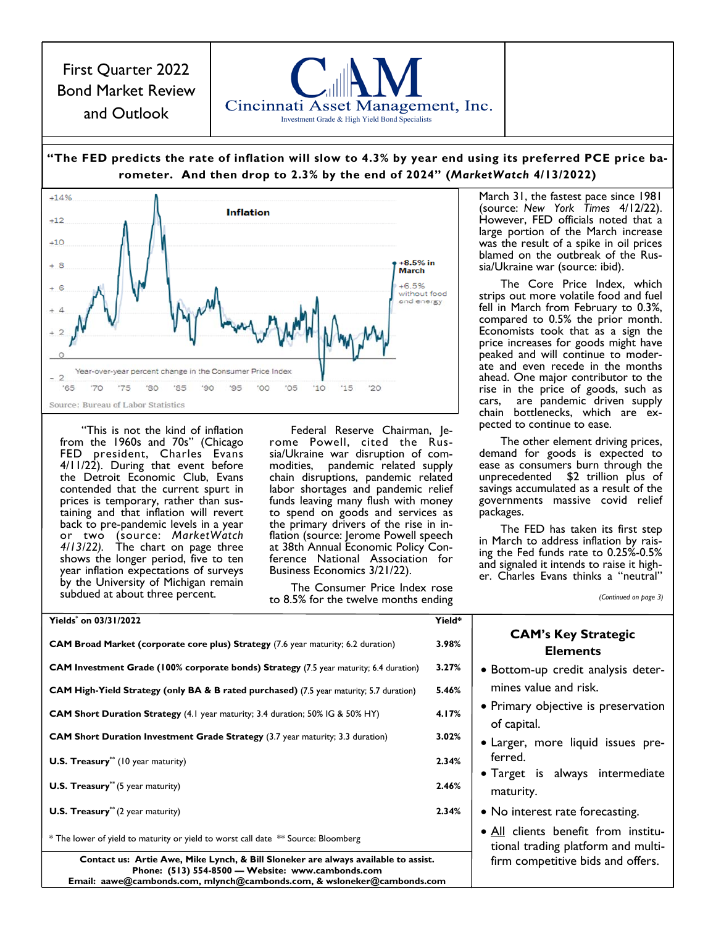# First Quarter 2022 Bond Market Review and Outlook



**"The FED predicts the rate of inflation will slow to 4.3% by year end using its preferred PCE price barometer. And then drop to 2.3% by the end of 2024" (***MarketWatch* **4/13/2022)** 



"This is not the kind of inflation from the 1960s and 70s" (Chicago FED president, Charles Evans 4/11/22). During that event before the Detroit Economic Club, Evans contended that the current spurt in prices is temporary, rather than sustaining and that inflation will revert back to pre-pandemic levels in a year or two (source: *MarketWatch 4/13/22).* The chart on page three shows the longer period, five to ten year inflation expectations of surveys by the University of Michigan remain subdued at about three percent.

Federal Reserve Chairman, Jerome Powell, cited the Russia/Ukraine war disruption of commodities, pandemic related supply chain disruptions, pandemic related labor shortages and pandemic relief funds leaving many flush with money to spend on goods and services as the primary drivers of the rise in inflation (source: Jerome Powell speech at 38th Annual Economic Policy Conference National Association for Business Economics 3/21/22).

The Consumer Price Index rose to 8.5% for the twelve months ending

March 31, the fastest pace since 1981 (source: *New York Times* 4/12/22). However, FED officials noted that  $a$ large portion of the March increase was the result of a spike in oil prices blamed on the outbreak of the Russia/Ukraine war (source: ibid).

The Core Price Index, which strips out more volatile food and fuel fell in March from February to 0.3%, compared to 0.5% the prior month. Economists took that as a sign the price increases for goods might have peaked and will continue to moderate and even recede in the months ahead. One major contributor to the rise in the price of goods, such as cars, are pandemic driven supply chain bottlenecks, which are expected to continue to ease.

The other element driving prices, demand for goods is expected to ease as consumers burn through the unprecedented \$2 trillion plus of savings accumulated as a result of the governments massive covid relief packages.

The FED has taken its first step in March to address inflation by raising the Fed funds rate to 0.25%-0.5% and signaled it intends to raise it higher. Charles Evans thinks a "neutral"

*(Continued on page 3)* 

| Yields on 03/31/2022                                                                                                                    | Yield* |                                |
|-----------------------------------------------------------------------------------------------------------------------------------------|--------|--------------------------------|
| <b>CAM Broad Market (corporate core plus) Strategy</b> (7.6 year maturity; 6.2 duration)                                                | 3.98%  | <b>CAM's</b><br>Е              |
| <b>CAM Investment Grade (100% corporate bonds) Strategy</b> (7.5 year maturity; 6.4 duration)                                           | 3.27%  | • Bottom-up                    |
| <b>CAM High-Yield Strategy (only BA &amp; B rated purchased)</b> (7.5 year maturity; 5.7 duration)                                      | 5.46%  | mines value                    |
| <b>CAM Short Duration Strategy</b> (4.1 year maturity; 3.4 duration; 50% IG & 50% HY)                                                   | 4.17%  | • Primary obje<br>of capital.  |
| <b>CAM Short Duration Investment Grade Strategy</b> (3.7 year maturity; 3.3 duration)                                                   | 3.02%  | • Larger, mor                  |
| <b>U.S. Treasury</b> <sup>**</sup> (10 year maturity)                                                                                   | 2.34%  | ferred.<br>$\bullet$ Target is |
| U.S. Treasury <sup>**</sup> (5 year maturity)                                                                                           | 2.46%  | maturity.                      |
| U.S. Treasury <sup>**</sup> (2 year maturity)                                                                                           | 2.34%  | • No interest                  |
| * The lower of yield to maturity or yield to worst call date ** Source: Bloomberg                                                       |        | • All clients<br>tional tradin |
| Contact us: Artie Awe, Mike Lynch, & Bill Sloneker are always available to assist.<br>Phone: (513) 554-8500 - Website: www.cambonds.com |        | firm compet                    |

**Email: aawe@cambonds.com, mlynch@cambonds.com, & wsloneker@cambonds.com** 

# **Key Strategic lements**

- credit analysis deterand risk.
- ective is preservation
- re liquid issues pre-
- always intermediate
- rate forecasting.
- benefit from institug platform and multitiive bids and offers.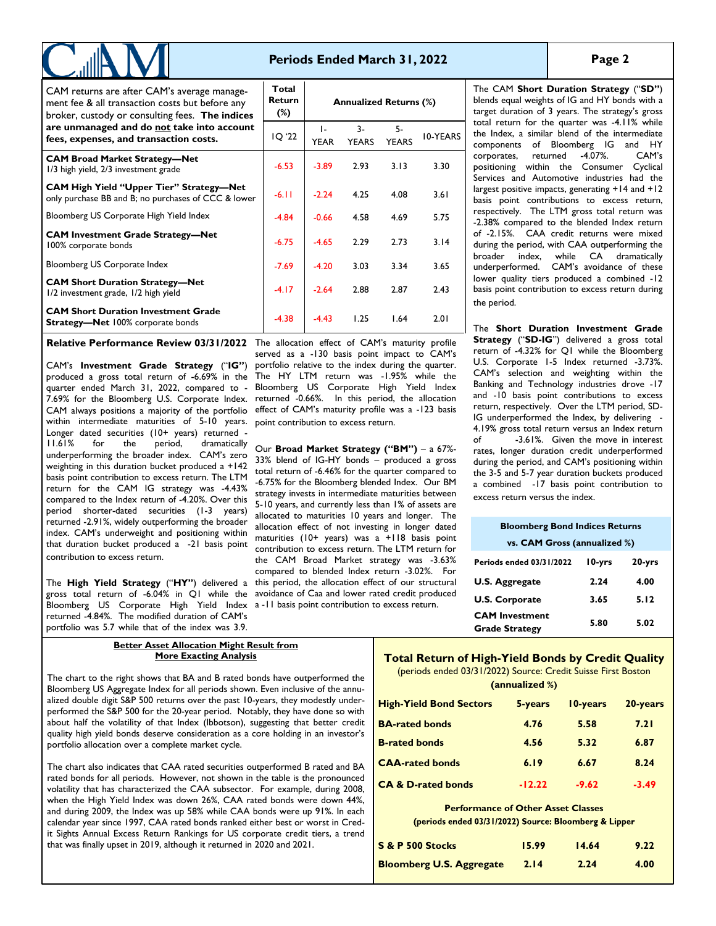# **Periods Ended March 31, 2022**

# **Page 2**

| CAM returns are after CAM's average manage-<br>ment fee & all transaction costs but before any<br>broker, custody or consulting fees. The indices<br>are unmanaged and do not take into account<br>fees, expenses, and transaction costs. | Total<br><b>Return</b><br>$(\%)$ | <b>Annualized Returns (%)</b> |                      |                    |          |
|-------------------------------------------------------------------------------------------------------------------------------------------------------------------------------------------------------------------------------------------|----------------------------------|-------------------------------|----------------------|--------------------|----------|
|                                                                                                                                                                                                                                           | IQ '22                           | $\mathbf{I}$<br><b>YEAR</b>   | $3-$<br><b>YEARS</b> | 5-<br><b>YEARS</b> | 10-YEARS |
| <b>CAM Broad Market Strategy-Net</b><br>1/3 high yield, 2/3 investment grade                                                                                                                                                              | $-6.53$                          | $-3.89$                       | 2.93                 | 3.13               | 3.30     |
| <b>CAM High Yield "Upper Tier" Strategy—Net</b><br>only purchase BB and B; no purchases of CCC & lower                                                                                                                                    | $-6.11$                          | $-2.24$                       | 4.25                 | 4.08               | 3.61     |
| Bloomberg US Corporate High Yield Index                                                                                                                                                                                                   | $-4.84$                          | $-0.66$                       | 4.58                 | 4.69               | 5.75     |
| <b>CAM Investment Grade Strategy—Net</b><br>100% corporate bonds                                                                                                                                                                          | $-6.75$                          | $-4.65$                       | 2.29                 | 2.73               | 3.14     |
| Bloomberg US Corporate Index                                                                                                                                                                                                              | $-7.69$                          | $-4.20$                       | 3.03                 | 3.34               | 3.65     |
| <b>CAM Short Duration Strategy-Net</b><br>1/2 investment grade, 1/2 high yield                                                                                                                                                            | $-4.17$                          | $-2.64$                       | 2.88                 | 2.87               | 2.43     |
| <b>CAM Short Duration Investment Grade</b><br>Strategy-Net 100% corporate bonds                                                                                                                                                           | $-4.38$                          | $-4.43$                       | 1.25                 | 1.64               | 2.01     |

**Relative Performance Review 03/31/2022**  The allocation effect of CAM's maturity profile

CAM's **Investment Grade Strategy** ("**IG"**) produced a gross total return of -6.69% in the quarter ended March 31, 2022, compared to - 7.69% for the Bloomberg U.S. Corporate Index. CAM always positions a majority of the portfolio within intermediate maturities of 5-10 years. Longer dated securities (10+ years) returned - 11.61% for the period, dramatically underperforming the broader index. CAM's zero weighting in this duration bucket produced a +142 basis point contribution to excess return. The LTM return for the CAM IG strategy was -4.43% compared to the Index return of -4.20%. Over this period shorter-dated securities (1-3 years) returned -2.91%, widely outperforming the broader index. CAM's underweight and positioning within that duration bucket produced a -21 basis point contribution to excess return.

The **High Yield Strategy** ("**HY"**) delivered a this period, the allocation effect of our structural gross total return of -6.04% in Q1 while the avoidance of Caa and lower rated credit produced Bloomberg US Corporate High Yield Index returned -4.84%. The modified duration of CAM's portfolio was 5.7 while that of the index was 3.9.

served as a -130 basis point impact to CAM's portfolio relative to the index during the quarter. The HY LTM return was -1.95% while the Bloomberg US Corporate High Yield Index returned -0.66%. In this period, the allocation effect of CAM's maturity profile was a -123 basis point contribution to excess return.

Our **Broad Market Strategy ("BM")** – a 67%- 33% blend of IG-HY bonds – produced a gross total return of -6.46% for the quarter compared to -6.75% for the Bloomberg blended Index. Our BM strategy invests in intermediate maturities between 5-10 years, and currently less than 1% of assets are allocated to maturities 10 years and longer. The allocation effect of not investing in longer dated maturities (10+ years) was a +118 basis point contribution to excess return. The LTM return for the CAM Broad Market strategy was -3.63% compared to blended Index return -3.02%. For a -11 basis point contribution to excess return.

#### **Better Asset Allocation Might Result from More Exacting Analysis**

The chart to the right shows that BA and B rated bonds have outperformed the Bloomberg US Aggregate Index for all periods shown. Even inclusive of the annualized double digit S&P 500 returns over the past 10-years, they modestly underperformed the S&P 500 for the 20-year period. Notably, they have done so with about half the volatility of that Index (Ibbotson), suggesting that better credit quality high yield bonds deserve consideration as a core holding in an investor's portfolio allocation over a complete market cycle.

The chart also indicates that CAA rated securities outperformed B rated and BA rated bonds for all periods. However, not shown in the table is the pronounced volatility that has characterized the CAA subsector. For example, during 2008, when the High Yield Index was down 26%, CAA rated bonds were down 44%, and during 2009, the Index was up 58% while CAA bonds were up 91%. In each calendar year since 1997, CAA rated bonds ranked either best or worst in Credit Sights Annual Excess Return Rankings for US corporate credit tiers, a trend that was finally upset in 2019, although it returned in 2020 and 2021.

The CAM **Short Duration Strategy** ("**SD"**) blends equal weights of IG and HY bonds with a target duration of 3 years. The strategy's gross total return for the quarter was -4.11% while the Index, a similar blend of the intermediate components of Bloomberg IG and HY corporates, returned -4.07%. CAM's positioning within the Consumer Cyclical Services and Automotive industries had the largest positive impacts, generating +14 and +12 basis point contributions to excess return, respectively. The LTM gross total return was -2.38% compared to the blended Index return of -2.15%. CAA credit returns were mixed during the period, with CAA outperforming the broader index, while CA dramatically underperformed. CAM's avoidance of these lower quality tiers produced a combined -12 basis point contribution to excess return during the period.

The **Short Duration Investment Grade Strategy** ("**SD-IG**") delivered a gross total return of -4.32% for Q1 while the Bloomberg U.S. Corporate 1-5 Index returned -3.73%. CAM's selection and weighting within the Banking and Technology industries drove -17 and -10 basis point contributions to excess return, respectively. Over the LTM period, SD-IG underperformed the Index, by delivering - 4.19% gross total return versus an Index return of -3.61%. Given the move in interest rates, longer duration credit underperformed during the period, and CAM's positioning within the 3-5 and 5-7 year duration buckets produced a combined -17 basis point contribution to excess return versus the index.

| <b>Bloomberg Bond Indices Returns</b>          |         |        |  |
|------------------------------------------------|---------|--------|--|
| vs. CAM Gross (annualized %)                   |         |        |  |
| Periods ended 03/31/2022                       | l 0-yrs | 20-yrs |  |
| <b>U.S. Aggregate</b>                          | 2.24    | 4.00   |  |
| <b>U.S. Corporate</b>                          | 3.65    | 5.12   |  |
| <b>CAM</b> Investment<br><b>Grade Strategy</b> | 5.80    | 5.02   |  |

# **Total Return of High-Yield Bonds by Credit Quality**

(periods ended 03/31/2022) Source: Credit Suisse First Boston **(annualized %)**

|                                | $($ allilualizeu $/6$ l |          |          |
|--------------------------------|-------------------------|----------|----------|
| <b>High-Yield Bond Sectors</b> | 5-years                 | 10-years | 20-years |
| <b>BA-rated bonds</b>          | 4.76                    | 5.58     | 7.21     |
| <b>B-rated bonds</b>           | 4.56                    | 5.32     | 6.87     |
| <b>CAA-rated bonds</b>         | 6.19                    | 6.67     | 8.24     |
| <b>CA &amp; D-rated bonds</b>  | $-12.22$                | $-9.62$  | $-3.49$  |

## **Performance of Other Asset Classes**  (periods ended 03/31/2022) Source: Bloomberg & Lipper

| S & P 500 Stocks                | 15.99 | 14.64 | 9.22 |
|---------------------------------|-------|-------|------|
| <b>Bloomberg U.S. Aggregate</b> | 2.14  | 2.24  | 4.00 |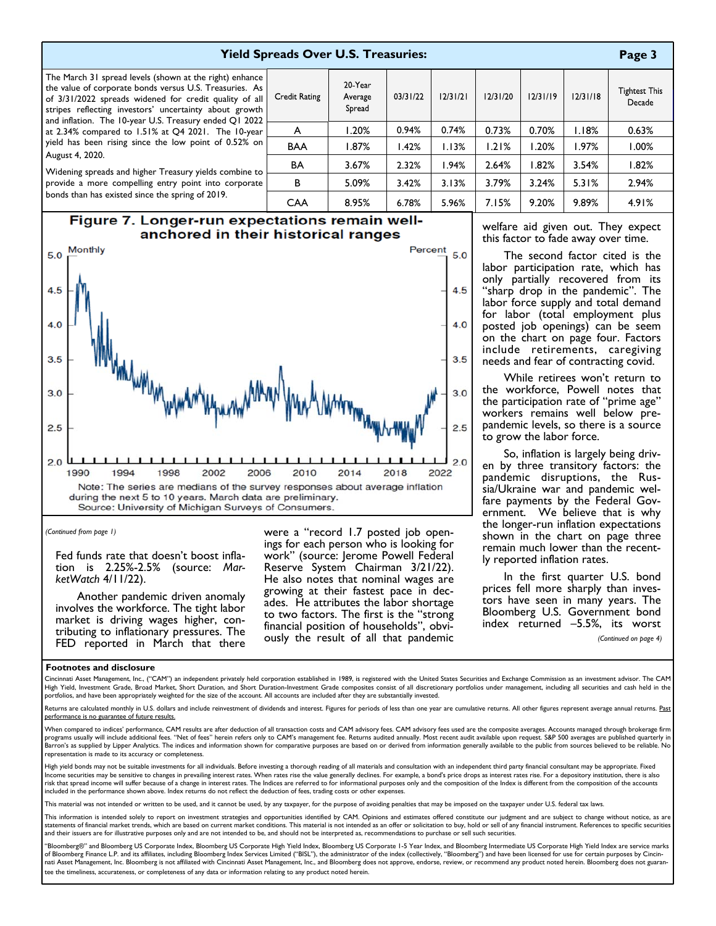## **Yield Spreads Over U.S. Treasuries:**

Credit Rating

20 Year

Average

Spread

The March 31 spread levels (shown at the right) enhance the value of corporate bonds versus U.S. Treasuries. As of 3/31/2022 spreads widened for credit quality of all stripes reflecting investors' uncertainty about growth and inflation. The 10-year U.S. Treasury ended Q1 2022 at 2.34% compared to 1.51% at Q4 2021. The 10-year yield has been rising since the low point of 0.52% on August 4, 2020.

Widening spreads and higher Treasury yields combine to provide a more compelling entry point into corporate bonds than has existed since the spring of 2019.

# Figure 7. Longer-run expectations remain wellanchored in their historical ranges Percent **Monthly**  $5.0$



*(Continued from page 1)*

Fed funds rate that doesn't boost inflation is 2.25%-2.5% (source: *MarketWatch* 4/11/22).

Another pandemic driven anomaly involves the workforce. The tight labor market is driving wages higher, contributing to inflationary pressures. The FED reported in March that there

were a "record 1.7 posted job openings for each person who is looking for work" (source: Jerome Powell Federal Reserve System Chairman 3/21/22). He also notes that nominal wages are growing at their fastest pace in decades. He attributes the labor shortage to two factors. The first is the "strong financial position of households", obviously the result of all that pandemic

welfare aid given out. They expect this factor to fade away over time.

 $12/31/18$ 

A 1.20% 0.73% 0.70% 1.18% 0.63% BAA 1.87% 1.21% 1.20% 1.97% 1.00% BA 3.67% 2.64% 1.82% 3.54% 1.82% B | 5.09% | 3.42% | 3.13% | 3.79% | 3.24% | 5.31% | 2.94% CAA | 8.95% | 6.78% | 5.96% | 7.15% | 9.20% | 9.89% | 4.91%

12/31/20

 $12/31/19$ 

0.74% 1.13% 1.94% 3.13% 5.96%

50

 $12/31/21$ 

0.94% 1.42% 2.32% 3.42% 6.78%

03/31/22

The second factor cited is the labor participation rate, which has only partially recovered from its "sharp drop in the pandemic". The labor force supply and total demand for labor (total employment plus posted job openings) can be seem on the chart on page four. Factors include retirements, caregiving needs and fear of contracting covid.

While retirees won't return to the workforce, Powell notes that the participation rate of "prime age" workers remains well below prepandemic levels, so there is a source to grow the labor force.

So, inflation is largely being driven by three transitory factors: the pandemic disruptions, the Russia/Ukraine war and pandemic welfare payments by the Federal Government. We believe that is why the longer-run inflation expectations shown in the chart on page three remain much lower than the recently reported inflation rates.

In the first quarter U.S. bond prices fell more sharply than investors have seen in many years. The Bloomberg U.S. Government bond index returned –5.5%, its worst

*(Continued on page 4)* 

#### **Footnotes and disclosure**

Cincinnati Asset Management, Inc., ("CAM") an independent privately held corporation established in 1989, is registered with the United States Securities and Exchange Commission as an investment advisor. The CAM High Yield, Investment Grade, Broad Market, Short Duration, and Short Duration-Investment Grade composites consist of all discretionary portfolios under management, including all securities and cash held in the portfolios, and have been appropriately weighted for the size of the account. All accounts are included after they are substantially invested.

Returns are calculated monthly in U.S. dollars and include reinvestment of dividends and interest. Figures for periods of less than one year are cumulative returns. All other figures represent average annual returns. Past performance is no guarantee of future results.

When compared to indices' performance, CAM results are after deduction of all transaction costs and CAM advisory fees. CAM advisory fees used are the composite averages. Accounts managed through brokerage firm programs usually will include additional fees. "Net of fees" herein refers only to CAM's management fee. Returns audited annually. Most recent audit available upon request. S&P 500 averages are published quarterly in Barron's as supplied by Lipper Analytics. The indices and information shown for comparative purposes are based on or derived from information generally available to the public from sources believed to be reliable. No representation is made to its accuracy or completeness.

High yield bonds may not be suitable investments for all individuals. Before investing a thorough reading of all materials and consultation with an independent third party financial consultant may be appropriate. Fixed Income securities may be sensitive to changes in prevailing interest rates. When rates rise the value generally declines. For example, a bond's price drops as interest rates rise. For a depository institution, there is also risk that spread income will suffer because of a change in interest rates. The Indices are referred to for informational purposes only and the composition of the Index is different from the composition of the accounts included in the performance shown above. Index returns do not reflect the deduction of fees, trading costs or other expenses.

This material was not intended or written to be used, and it cannot be used, by any taxpayer, for the purpose of avoiding penalties that may be imposed on the taxpayer under U.S. federal tax laws.

This information is intended solely to report on investment strategies and opportunities identified by CAM. Opinions and estimates offered constitute our judgment and are subject to change without notice, as are statements of financial market trends, which are based on current market conditions. This material is not intended as an offer or solicitation to buy, hold or sell of any financial instrument. References to specific securi

"Bloomberg®" and Bloomberg US Corporate Index, Bloomberg US Corporate High Yield Index, Bloomberg US Corporate 1-5 Year Index, and Bloomberg Intermediate US Corporate High Yield Index are service marks of Bloomberg Finance L.P. and its affiliates, including Bloomberg Index Services Limited ("BISL"), the administrator of the index (collectively, "Bloomberg") and have been licensed for use for certain purposes by Cincin-<br>n tee the timeliness, accurateness, or completeness of any data or information relating to any product noted herein.

**Page 3** 

**Tightest This** 

Decade